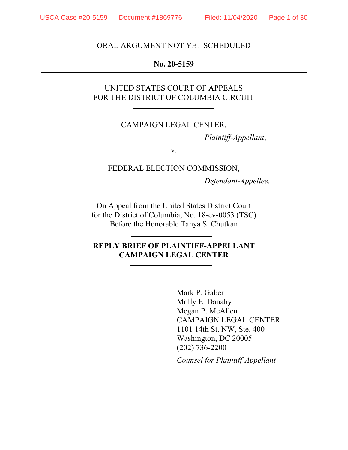#### ORAL ARGUMENT NOT YET SCHEDULED

### **No. 20-5159**

## UNITED STATES COURT OF APPEALS FOR THE DISTRICT OF COLUMBIA CIRCUIT

### CAMPAIGN LEGAL CENTER,

*Plaintiff-Appellant*,

v.

FEDERAL ELECTION COMMISSION,

*Defendant-Appellee.*

On Appeal from the United States District Court for the District of Columbia, No. 18-cv-0053 (TSC) Before the Honorable Tanya S. Chutkan

### **REPLY BRIEF OF PLAINTIFF-APPELLANT CAMPAIGN LEGAL CENTER**

Mark P. Gaber Molly E. Danahy Megan P. McAllen CAMPAIGN LEGAL CENTER 1101 14th St. NW, Ste. 400 Washington, DC 20005 (202) 736-2200  *Counsel for Plaintiff-Appellant*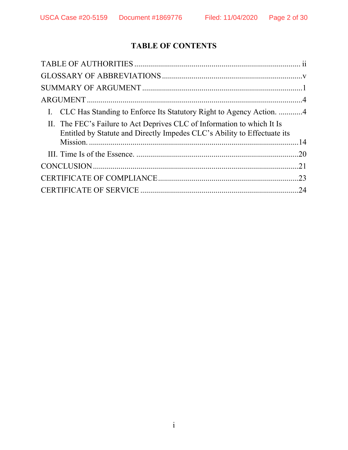# **TABLE OF CONTENTS**

| I. CLC Has Standing to Enforce Its Statutory Right to Agency Action. 4                                                                              |  |
|-----------------------------------------------------------------------------------------------------------------------------------------------------|--|
| II. The FEC's Failure to Act Deprives CLC of Information to which It Is<br>Entitled by Statute and Directly Impedes CLC's Ability to Effectuate its |  |
|                                                                                                                                                     |  |
|                                                                                                                                                     |  |
|                                                                                                                                                     |  |
|                                                                                                                                                     |  |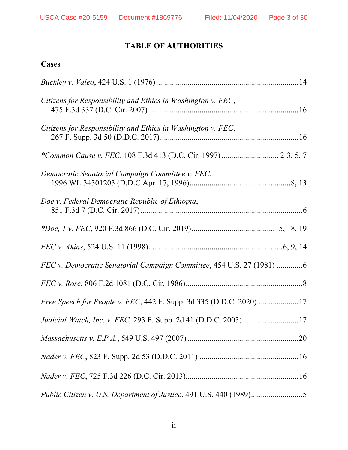# **TABLE OF AUTHORITIES**

## **Cases**

| Citizens for Responsibility and Ethics in Washington v. FEC,          |  |
|-----------------------------------------------------------------------|--|
| Citizens for Responsibility and Ethics in Washington v. FEC,          |  |
|                                                                       |  |
| Democratic Senatorial Campaign Committee v. FEC,                      |  |
| Doe v. Federal Democratic Republic of Ethiopia,                       |  |
|                                                                       |  |
|                                                                       |  |
| FEC v. Democratic Senatorial Campaign Committee, 454 U.S. 27 (1981) 6 |  |
|                                                                       |  |
| Free Speech for People v. FEC, 442 F. Supp. 3d 335 (D.D.C. 2020)17    |  |
| Judicial Watch, Inc. v. FEC, 293 F. Supp. 2d 41 (D.D.C. 2003) 17      |  |
|                                                                       |  |
|                                                                       |  |
|                                                                       |  |
|                                                                       |  |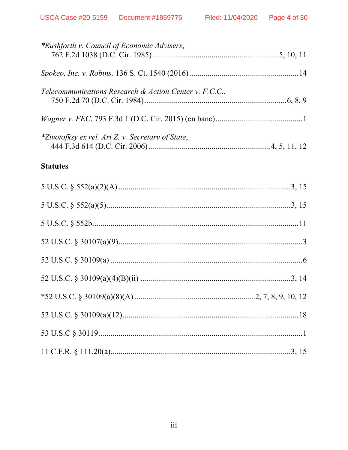| *Rushforth v. Council of Economic Advisers,            |  |
|--------------------------------------------------------|--|
|                                                        |  |
| Telecommunications Research & Action Center v. F.C.C., |  |
|                                                        |  |
| *Zivotofksy ex rel. Ari Z. v. Secretary of State,      |  |
| <b>Statutes</b>                                        |  |
|                                                        |  |
|                                                        |  |
|                                                        |  |
|                                                        |  |
|                                                        |  |
|                                                        |  |
|                                                        |  |
|                                                        |  |
|                                                        |  |
|                                                        |  |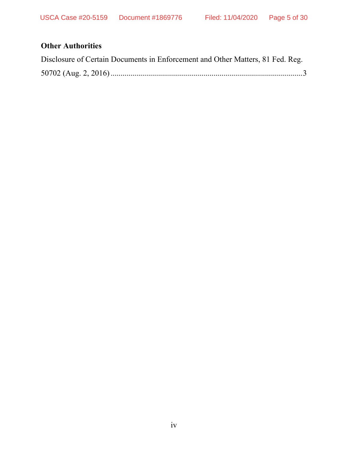## **Other Authorities**

| Disclosure of Certain Documents in Enforcement and Other Matters, 81 Fed. Reg. |  |
|--------------------------------------------------------------------------------|--|
|                                                                                |  |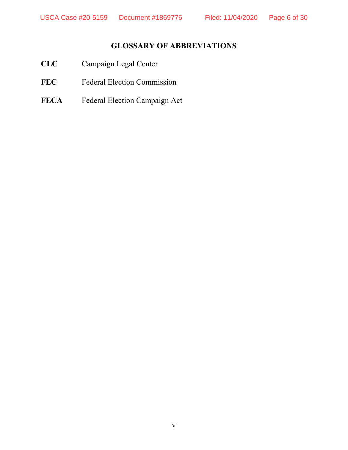# **GLOSSARY OF ABBREVIATIONS**

- **CLC** Campaign Legal Center
- FEC Federal Election Commission
- **FECA** Federal Election Campaign Act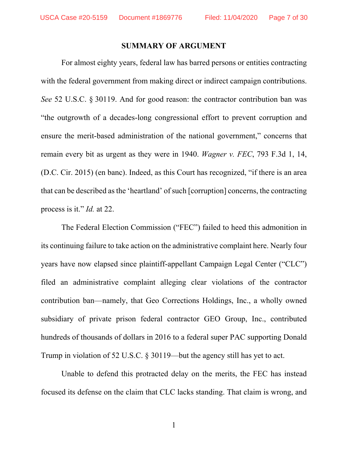#### **SUMMARY OF ARGUMENT**

For almost eighty years, federal law has barred persons or entities contracting with the federal government from making direct or indirect campaign contributions. *See* 52 U.S.C. § 30119. And for good reason: the contractor contribution ban was "the outgrowth of a decades-long congressional effort to prevent corruption and ensure the merit-based administration of the national government," concerns that remain every bit as urgent as they were in 1940. *Wagner v. FEC*, 793 F.3d 1, 14, (D.C. Cir. 2015) (en banc). Indeed, as this Court has recognized, "if there is an area that can be described as the 'heartland' of such [corruption] concerns, the contracting process is it." *Id.* at 22.

The Federal Election Commission ("FEC") failed to heed this admonition in its continuing failure to take action on the administrative complaint here. Nearly four years have now elapsed since plaintiff-appellant Campaign Legal Center ("CLC") filed an administrative complaint alleging clear violations of the contractor contribution ban—namely, that Geo Corrections Holdings, Inc., a wholly owned subsidiary of private prison federal contractor GEO Group, Inc., contributed hundreds of thousands of dollars in 2016 to a federal super PAC supporting Donald Trump in violation of 52 U.S.C. § 30119—but the agency still has yet to act.

Unable to defend this protracted delay on the merits, the FEC has instead focused its defense on the claim that CLC lacks standing. That claim is wrong, and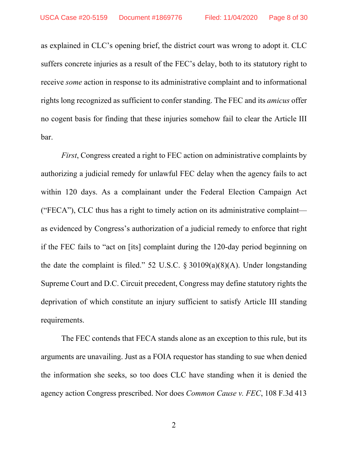as explained in CLC's opening brief, the district court was wrong to adopt it. CLC suffers concrete injuries as a result of the FEC's delay, both to its statutory right to receive *some* action in response to its administrative complaint and to informational rights long recognized as sufficient to confer standing. The FEC and its *amicus* offer no cogent basis for finding that these injuries somehow fail to clear the Article III bar.

*First*, Congress created a right to FEC action on administrative complaints by authorizing a judicial remedy for unlawful FEC delay when the agency fails to act within 120 days. As a complainant under the Federal Election Campaign Act ("FECA"), CLC thus has a right to timely action on its administrative complaint as evidenced by Congress's authorization of a judicial remedy to enforce that right if the FEC fails to "act on [its] complaint during the 120-day period beginning on the date the complaint is filed." 52 U.S.C.  $\S 30109(a)(8)(A)$ . Under longstanding Supreme Court and D.C. Circuit precedent, Congress may define statutory rights the deprivation of which constitute an injury sufficient to satisfy Article III standing requirements.

The FEC contends that FECA stands alone as an exception to this rule, but its arguments are unavailing. Just as a FOIA requestor has standing to sue when denied the information she seeks, so too does CLC have standing when it is denied the agency action Congress prescribed. Nor does *Common Cause v. FEC*, 108 F.3d 413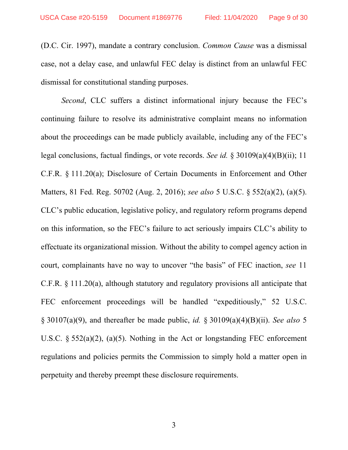(D.C. Cir. 1997), mandate a contrary conclusion. *Common Cause* was a dismissal case, not a delay case, and unlawful FEC delay is distinct from an unlawful FEC dismissal for constitutional standing purposes.

*Second*, CLC suffers a distinct informational injury because the FEC's continuing failure to resolve its administrative complaint means no information about the proceedings can be made publicly available, including any of the FEC's legal conclusions, factual findings, or vote records. *See id.* § 30109(a)(4)(B)(ii); 11 C.F.R. § 111.20(a); Disclosure of Certain Documents in Enforcement and Other Matters, 81 Fed. Reg. 50702 (Aug. 2, 2016); *see also* 5 U.S.C. § 552(a)(2), (a)(5). CLC's public education, legislative policy, and regulatory reform programs depend on this information, so the FEC's failure to act seriously impairs CLC's ability to effectuate its organizational mission. Without the ability to compel agency action in court, complainants have no way to uncover "the basis" of FEC inaction, *see* 11 C.F.R. § 111.20(a), although statutory and regulatory provisions all anticipate that FEC enforcement proceedings will be handled "expeditiously," 52 U.S.C. § 30107(a)(9), and thereafter be made public, *id.* § 30109(a)(4)(B)(ii). *See also* 5 U.S.C.  $\S 552(a)(2)$ ,  $(a)(5)$ . Nothing in the Act or longstanding FEC enforcement regulations and policies permits the Commission to simply hold a matter open in perpetuity and thereby preempt these disclosure requirements.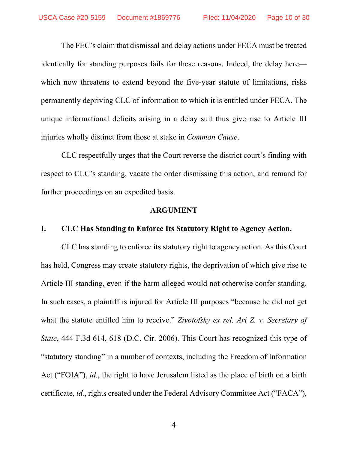The FEC's claim that dismissal and delay actions under FECA must be treated identically for standing purposes fails for these reasons. Indeed, the delay here which now threatens to extend beyond the five-year statute of limitations, risks permanently depriving CLC of information to which it is entitled under FECA. The unique informational deficits arising in a delay suit thus give rise to Article III injuries wholly distinct from those at stake in *Common Cause*.

CLC respectfully urges that the Court reverse the district court's finding with respect to CLC's standing, vacate the order dismissing this action, and remand for further proceedings on an expedited basis.

### **ARGUMENT**

### **I. CLC Has Standing to Enforce Its Statutory Right to Agency Action.**

 CLC has standing to enforce its statutory right to agency action. As this Court has held, Congress may create statutory rights, the deprivation of which give rise to Article III standing, even if the harm alleged would not otherwise confer standing. In such cases, a plaintiff is injured for Article III purposes "because he did not get what the statute entitled him to receive." *Zivotofsky ex rel. Ari Z. v. Secretary of State*, 444 F.3d 614, 618 (D.C. Cir. 2006). This Court has recognized this type of "statutory standing" in a number of contexts, including the Freedom of Information Act ("FOIA"), *id.*, the right to have Jerusalem listed as the place of birth on a birth certificate, *id.*, rights created under the Federal Advisory Committee Act ("FACA"),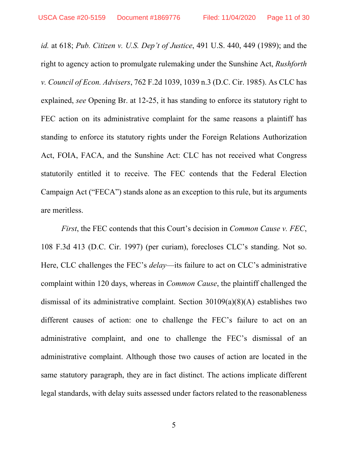*id.* at 618; *Pub. Citizen v. U.S. Dep't of Justice*, 491 U.S. 440, 449 (1989); and the right to agency action to promulgate rulemaking under the Sunshine Act, *Rushforth v. Council of Econ. Advisers*, 762 F.2d 1039, 1039 n.3 (D.C. Cir. 1985). As CLC has explained, *see* Opening Br. at 12-25, it has standing to enforce its statutory right to FEC action on its administrative complaint for the same reasons a plaintiff has standing to enforce its statutory rights under the Foreign Relations Authorization Act, FOIA, FACA, and the Sunshine Act: CLC has not received what Congress statutorily entitled it to receive. The FEC contends that the Federal Election Campaign Act ("FECA") stands alone as an exception to this rule, but its arguments are meritless.

*First*, the FEC contends that this Court's decision in *Common Cause v. FEC*, 108 F.3d 413 (D.C. Cir. 1997) (per curiam), forecloses CLC's standing. Not so. Here, CLC challenges the FEC's *delay*—its failure to act on CLC's administrative complaint within 120 days, whereas in *Common Cause*, the plaintiff challenged the dismissal of its administrative complaint. Section 30109(a)(8)(A) establishes two different causes of action: one to challenge the FEC's failure to act on an administrative complaint, and one to challenge the FEC's dismissal of an administrative complaint. Although those two causes of action are located in the same statutory paragraph, they are in fact distinct. The actions implicate different legal standards, with delay suits assessed under factors related to the reasonableness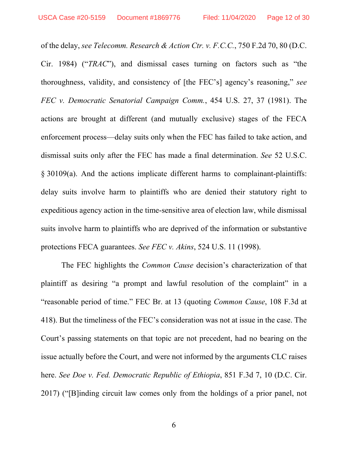of the delay, *see Telecomm. Research & Action Ctr. v. F.C.C.*, 750 F.2d 70, 80 (D.C. Cir. 1984) ("*TRAC*"), and dismissal cases turning on factors such as "the thoroughness, validity, and consistency of [the FEC's] agency's reasoning," *see FEC v. Democratic Senatorial Campaign Comm.*, 454 U.S. 27, 37 (1981). The actions are brought at different (and mutually exclusive) stages of the FECA enforcement process—delay suits only when the FEC has failed to take action, and dismissal suits only after the FEC has made a final determination. *See* 52 U.S.C. § 30109(a). And the actions implicate different harms to complainant-plaintiffs: delay suits involve harm to plaintiffs who are denied their statutory right to expeditious agency action in the time-sensitive area of election law, while dismissal suits involve harm to plaintiffs who are deprived of the information or substantive protections FECA guarantees. *See FEC v. Akins*, 524 U.S. 11 (1998).

The FEC highlights the *Common Cause* decision's characterization of that plaintiff as desiring "a prompt and lawful resolution of the complaint" in a "reasonable period of time." FEC Br. at 13 (quoting *Common Cause*, 108 F.3d at 418). But the timeliness of the FEC's consideration was not at issue in the case. The Court's passing statements on that topic are not precedent, had no bearing on the issue actually before the Court, and were not informed by the arguments CLC raises here. *See Doe v. Fed. Democratic Republic of Ethiopia*, 851 F.3d 7, 10 (D.C. Cir. 2017) ("[B]inding circuit law comes only from the holdings of a prior panel, not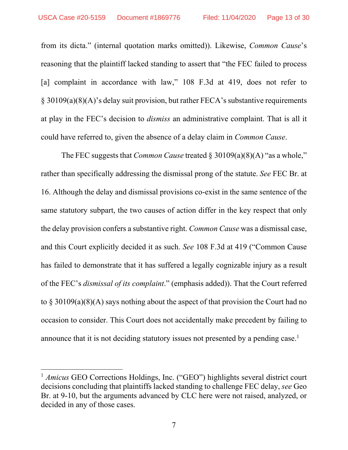from its dicta." (internal quotation marks omitted)). Likewise, *Common Cause*'s reasoning that the plaintiff lacked standing to assert that "the FEC failed to process [a] complaint in accordance with law," 108 F.3d at 419, does not refer to § 30109(a)(8)(A)'s delay suit provision, but rather FECA's substantive requirements at play in the FEC's decision to *dismiss* an administrative complaint. That is all it could have referred to, given the absence of a delay claim in *Common Cause*.

 The FEC suggests that *Common Cause* treated § 30109(a)(8)(A) "as a whole," rather than specifically addressing the dismissal prong of the statute. *See* FEC Br. at 16. Although the delay and dismissal provisions co-exist in the same sentence of the same statutory subpart, the two causes of action differ in the key respect that only the delay provision confers a substantive right. *Common Cause* was a dismissal case, and this Court explicitly decided it as such. *See* 108 F.3d at 419 ("Common Cause has failed to demonstrate that it has suffered a legally cognizable injury as a result of the FEC's *dismissal of its complaint*." (emphasis added)). That the Court referred to § 30109(a)(8)(A) says nothing about the aspect of that provision the Court had no occasion to consider. This Court does not accidentally make precedent by failing to announce that it is not deciding statutory issues not presented by a pending case.<sup>1</sup>

 $\overline{a}$ 

<sup>&</sup>lt;sup>1</sup> *Amicus* GEO Corrections Holdings, Inc. ("GEO") highlights several district court decisions concluding that plaintiffs lacked standing to challenge FEC delay, *see* Geo Br. at 9-10, but the arguments advanced by CLC here were not raised, analyzed, or decided in any of those cases.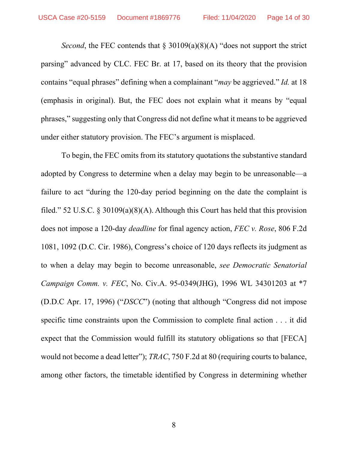*Second*, the FEC contends that § 30109(a)(8)(A) "does not support the strict parsing" advanced by CLC. FEC Br. at 17, based on its theory that the provision contains "equal phrases" defining when a complainant "*may* be aggrieved." *Id.* at 18 (emphasis in original). But, the FEC does not explain what it means by "equal phrases," suggesting only that Congress did not define what it means to be aggrieved under either statutory provision. The FEC's argument is misplaced.

To begin, the FEC omits from its statutory quotations the substantive standard adopted by Congress to determine when a delay may begin to be unreasonable—a failure to act "during the 120-day period beginning on the date the complaint is filed." 52 U.S.C. § 30109(a)(8)(A). Although this Court has held that this provision does not impose a 120-day *deadline* for final agency action, *FEC v. Rose*, 806 F.2d 1081, 1092 (D.C. Cir. 1986), Congress's choice of 120 days reflects its judgment as to when a delay may begin to become unreasonable, *see Democratic Senatorial Campaign Comm. v. FEC*, No. Civ.A. 95-0349(JHG), 1996 WL 34301203 at \*7 (D.D.C Apr. 17, 1996) ("*DSCC*") (noting that although "Congress did not impose specific time constraints upon the Commission to complete final action . . . it did expect that the Commission would fulfill its statutory obligations so that [FECA] would not become a dead letter"); *TRAC*, 750 F.2d at 80 (requiring courts to balance, among other factors, the timetable identified by Congress in determining whether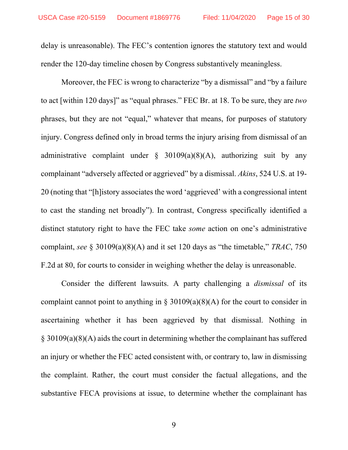delay is unreasonable). The FEC's contention ignores the statutory text and would render the 120-day timeline chosen by Congress substantively meaningless.

Moreover, the FEC is wrong to characterize "by a dismissal" and "by a failure to act [within 120 days]" as "equal phrases." FEC Br. at 18. To be sure, they are *two*  phrases, but they are not "equal," whatever that means, for purposes of statutory injury. Congress defined only in broad terms the injury arising from dismissal of an administrative complaint under  $\S$  30109(a)(8)(A), authorizing suit by any complainant "adversely affected or aggrieved" by a dismissal. *Akins*, 524 U.S. at 19- 20 (noting that "[h]istory associates the word 'aggrieved' with a congressional intent to cast the standing net broadly"). In contrast, Congress specifically identified a distinct statutory right to have the FEC take *some* action on one's administrative complaint, *see* § 30109(a)(8)(A) and it set 120 days as "the timetable," *TRAC*, 750 F.2d at 80, for courts to consider in weighing whether the delay is unreasonable.

Consider the different lawsuits. A party challenging a *dismissal* of its complaint cannot point to anything in  $\S 30109(a)(8)(A)$  for the court to consider in ascertaining whether it has been aggrieved by that dismissal. Nothing in § 30109(a)(8)(A) aids the court in determining whether the complainant has suffered an injury or whether the FEC acted consistent with, or contrary to, law in dismissing the complaint. Rather, the court must consider the factual allegations, and the substantive FECA provisions at issue, to determine whether the complainant has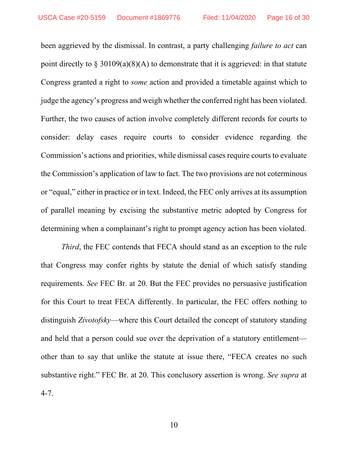been aggrieved by the dismissal. In contrast, a party challenging *failure to act* can point directly to  $\S 30109(a)(8)(A)$  to demonstrate that it is aggrieved: in that statute Congress granted a right to *some* action and provided a timetable against which to judge the agency's progress and weigh whether the conferred right has been violated. Further, the two causes of action involve completely different records for courts to consider: delay cases require courts to consider evidence regarding the Commission's actions and priorities, while dismissal cases require courts to evaluate the Commission's application of law to fact. The two provisions are not coterminous or "equal," either in practice or in text. Indeed, the FEC only arrives at its assumption of parallel meaning by excising the substantive metric adopted by Congress for determining when a complainant's right to prompt agency action has been violated.

*Third*, the FEC contends that FECA should stand as an exception to the rule that Congress may confer rights by statute the denial of which satisfy standing requirements. *See* FEC Br. at 20. But the FEC provides no persuasive justification for this Court to treat FECA differently. In particular, the FEC offers nothing to distinguish *Zivotofsky*—where this Court detailed the concept of statutory standing and held that a person could sue over the deprivation of a statutory entitlement other than to say that unlike the statute at issue there, "FECA creates no such substantive right." FEC Br. at 20. This conclusory assertion is wrong. *See supra* at 4-7.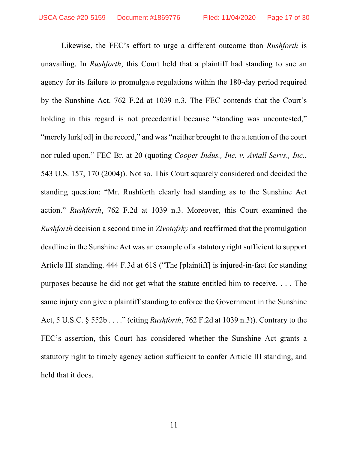Likewise, the FEC's effort to urge a different outcome than *Rushforth* is unavailing. In *Rushforth*, this Court held that a plaintiff had standing to sue an agency for its failure to promulgate regulations within the 180-day period required by the Sunshine Act. 762 F.2d at 1039 n.3. The FEC contends that the Court's holding in this regard is not precedential because "standing was uncontested," "merely lurk[ed] in the record," and was "neither brought to the attention of the court nor ruled upon." FEC Br. at 20 (quoting *Cooper Indus., Inc. v. Aviall Servs., Inc.*, 543 U.S. 157, 170 (2004)). Not so. This Court squarely considered and decided the standing question: "Mr. Rushforth clearly had standing as to the Sunshine Act action." *Rushforth*, 762 F.2d at 1039 n.3. Moreover, this Court examined the *Rushforth* decision a second time in *Zivotofsky* and reaffirmed that the promulgation deadline in the Sunshine Act was an example of a statutory right sufficient to support Article III standing. 444 F.3d at 618 ("The [plaintiff] is injured-in-fact for standing purposes because he did not get what the statute entitled him to receive. . . . The same injury can give a plaintiff standing to enforce the Government in the Sunshine Act, 5 U.S.C. § 552b . . . ." (citing *Rushforth*, 762 F.2d at 1039 n.3)). Contrary to the FEC's assertion, this Court has considered whether the Sunshine Act grants a statutory right to timely agency action sufficient to confer Article III standing, and held that it does.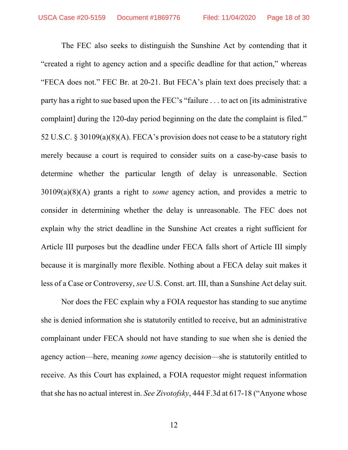The FEC also seeks to distinguish the Sunshine Act by contending that it "created a right to agency action and a specific deadline for that action," whereas "FECA does not." FEC Br. at 20-21. But FECA's plain text does precisely that: a party has a right to sue based upon the FEC's "failure . . . to act on [its administrative complaint] during the 120-day period beginning on the date the complaint is filed." 52 U.S.C. § 30109(a)(8)(A). FECA's provision does not cease to be a statutory right merely because a court is required to consider suits on a case-by-case basis to determine whether the particular length of delay is unreasonable. Section 30109(a)(8)(A) grants a right to *some* agency action, and provides a metric to consider in determining whether the delay is unreasonable. The FEC does not explain why the strict deadline in the Sunshine Act creates a right sufficient for Article III purposes but the deadline under FECA falls short of Article III simply because it is marginally more flexible. Nothing about a FECA delay suit makes it less of a Case or Controversy, *see* U.S. Const. art. III, than a Sunshine Act delay suit.

Nor does the FEC explain why a FOIA requestor has standing to sue anytime she is denied information she is statutorily entitled to receive, but an administrative complainant under FECA should not have standing to sue when she is denied the agency action—here, meaning *some* agency decision—she is statutorily entitled to receive. As this Court has explained, a FOIA requestor might request information that she has no actual interest in. *See Zivotofsky*, 444 F.3d at 617-18 ("Anyone whose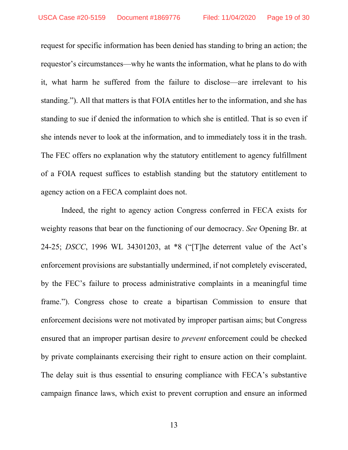request for specific information has been denied has standing to bring an action; the requestor's circumstances—why he wants the information, what he plans to do with it, what harm he suffered from the failure to disclose—are irrelevant to his standing."). All that matters is that FOIA entitles her to the information, and she has standing to sue if denied the information to which she is entitled. That is so even if she intends never to look at the information, and to immediately toss it in the trash. The FEC offers no explanation why the statutory entitlement to agency fulfillment of a FOIA request suffices to establish standing but the statutory entitlement to agency action on a FECA complaint does not.

Indeed, the right to agency action Congress conferred in FECA exists for weighty reasons that bear on the functioning of our democracy. *See* Opening Br. at 24-25; *DSCC*, 1996 WL 34301203, at \*8 ("[T]he deterrent value of the Act's enforcement provisions are substantially undermined, if not completely eviscerated, by the FEC's failure to process administrative complaints in a meaningful time frame."). Congress chose to create a bipartisan Commission to ensure that enforcement decisions were not motivated by improper partisan aims; but Congress ensured that an improper partisan desire to *prevent* enforcement could be checked by private complainants exercising their right to ensure action on their complaint. The delay suit is thus essential to ensuring compliance with FECA's substantive campaign finance laws, which exist to prevent corruption and ensure an informed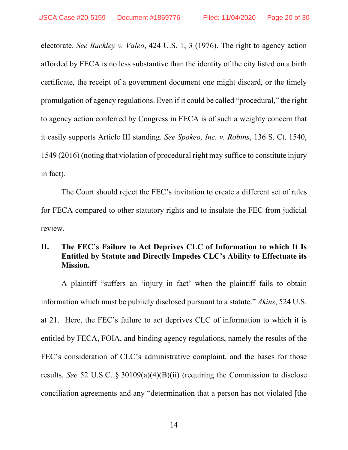electorate. *See Buckley v. Valeo*, 424 U.S. 1, 3 (1976). The right to agency action afforded by FECA is no less substantive than the identity of the city listed on a birth certificate, the receipt of a government document one might discard, or the timely promulgation of agency regulations. Even if it could be called "procedural," the right to agency action conferred by Congress in FECA is of such a weighty concern that it easily supports Article III standing. *See Spokeo, Inc. v. Robins*, 136 S. Ct. 1540, 1549 (2016) (noting that violation of procedural right may suffice to constitute injury in fact).

The Court should reject the FEC's invitation to create a different set of rules for FECA compared to other statutory rights and to insulate the FEC from judicial review.

### **II. The FEC's Failure to Act Deprives CLC of Information to which It Is Entitled by Statute and Directly Impedes CLC's Ability to Effectuate its Mission.**

A plaintiff "suffers an 'injury in fact' when the plaintiff fails to obtain information which must be publicly disclosed pursuant to a statute." *Akins*, 524 U.S. at 21. Here, the FEC's failure to act deprives CLC of information to which it is entitled by FECA, FOIA, and binding agency regulations, namely the results of the FEC's consideration of CLC's administrative complaint, and the bases for those results. *See* 52 U.S.C. § 30109(a)(4)(B)(ii) (requiring the Commission to disclose conciliation agreements and any "determination that a person has not violated [the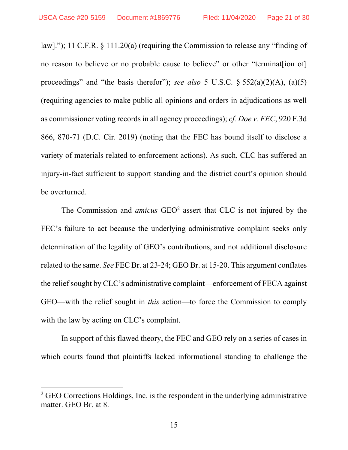law]."); 11 C.F.R. § 111.20(a) (requiring the Commission to release any "finding of no reason to believe or no probable cause to believe" or other "terminat[ion of] proceedings" and "the basis therefor"); *see also* 5 U.S.C. § 552(a)(2)(A), (a)(5) (requiring agencies to make public all opinions and orders in adjudications as well as commissioner voting records in all agency proceedings); *cf. Doe v. FEC*, 920 F.3d 866, 870-71 (D.C. Cir. 2019) (noting that the FEC has bound itself to disclose a variety of materials related to enforcement actions). As such, CLC has suffered an injury-in-fact sufficient to support standing and the district court's opinion should be overturned.

The Commission and *amicus* GEO<sup>2</sup> assert that CLC is not injured by the FEC's failure to act because the underlying administrative complaint seeks only determination of the legality of GEO's contributions, and not additional disclosure related to the same. *See* FEC Br. at 23-24; GEO Br. at 15-20. This argument conflates the relief sought by CLC's administrative complaint—enforcement of FECA against GEO—with the relief sought in *this* action—to force the Commission to comply with the law by acting on CLC's complaint.

In support of this flawed theory, the FEC and GEO rely on a series of cases in which courts found that plaintiffs lacked informational standing to challenge the

 $\overline{a}$ 

 $2$  GEO Corrections Holdings, Inc. is the respondent in the underlying administrative matter. GEO Br. at 8.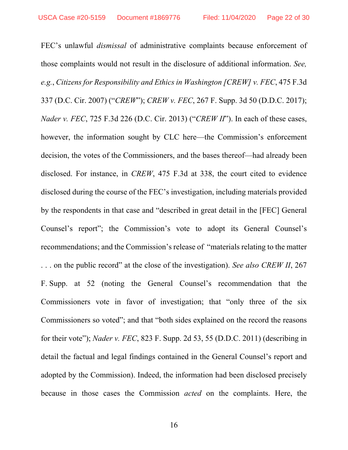FEC's unlawful *dismissal* of administrative complaints because enforcement of those complaints would not result in the disclosure of additional information. *See, e.g.*, *Citizens for Responsibility and Ethics in Washington [CREW] v. FEC*, 475 F.3d 337 (D.C. Cir. 2007) ("*CREW*"); *CREW v. FEC*, 267 F. Supp. 3d 50 (D.D.C. 2017); *Nader v. FEC*, 725 F.3d 226 (D.C. Cir. 2013) ("*CREW II*"). In each of these cases, however, the information sought by CLC here—the Commission's enforcement decision, the votes of the Commissioners, and the bases thereof—had already been disclosed. For instance, in *CREW*, 475 F.3d at 338, the court cited to evidence disclosed during the course of the FEC's investigation, including materials provided by the respondents in that case and "described in great detail in the [FEC] General Counsel's report"; the Commission's vote to adopt its General Counsel's recommendations; and the Commission's release of "materials relating to the matter . . . on the public record" at the close of the investigation). *See also CREW II*, 267 F. Supp. at 52 (noting the General Counsel's recommendation that the Commissioners vote in favor of investigation; that "only three of the six Commissioners so voted"; and that "both sides explained on the record the reasons for their vote"); *Nader v. FEC*, 823 F. Supp. 2d 53, 55 (D.D.C. 2011) (describing in detail the factual and legal findings contained in the General Counsel's report and adopted by the Commission). Indeed, the information had been disclosed precisely because in those cases the Commission *acted* on the complaints. Here, the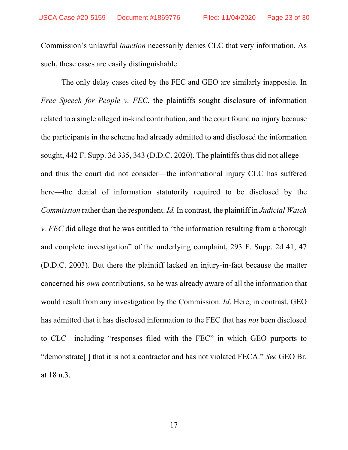Commission's unlawful *inaction* necessarily denies CLC that very information. As such, these cases are easily distinguishable.

The only delay cases cited by the FEC and GEO are similarly inapposite. In *Free Speech for People v. FEC*, the plaintiffs sought disclosure of information related to a single alleged in-kind contribution, and the court found no injury because the participants in the scheme had already admitted to and disclosed the information sought, 442 F. Supp. 3d 335, 343 (D.D.C. 2020). The plaintiffs thus did not allege and thus the court did not consider—the informational injury CLC has suffered here—the denial of information statutorily required to be disclosed by the *Commission* rather than the respondent. *Id.*In contrast, the plaintiff in *Judicial Watch v. FEC* did allege that he was entitled to "the information resulting from a thorough and complete investigation" of the underlying complaint, 293 F. Supp. 2d 41, 47 (D.D.C. 2003). But there the plaintiff lacked an injury-in-fact because the matter concerned his *own* contributions, so he was already aware of all the information that would result from any investigation by the Commission. *Id*. Here, in contrast, GEO has admitted that it has disclosed information to the FEC that has *not* been disclosed to CLC—including "responses filed with the FEC" in which GEO purports to "demonstrate[ ] that it is not a contractor and has not violated FECA." *See* GEO Br. at 18 n.3.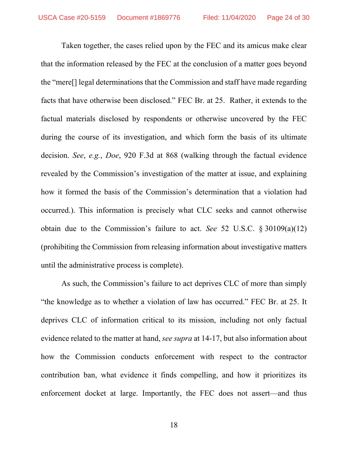Taken together, the cases relied upon by the FEC and its amicus make clear that the information released by the FEC at the conclusion of a matter goes beyond the "mere[] legal determinations that the Commission and staff have made regarding facts that have otherwise been disclosed." FEC Br. at 25. Rather, it extends to the factual materials disclosed by respondents or otherwise uncovered by the FEC during the course of its investigation, and which form the basis of its ultimate decision. *See*, *e.g.*, *Doe*, 920 F.3d at 868 (walking through the factual evidence revealed by the Commission's investigation of the matter at issue, and explaining how it formed the basis of the Commission's determination that a violation had occurred.). This information is precisely what CLC seeks and cannot otherwise obtain due to the Commission's failure to act. *See* 52 U.S.C. § 30109(a)(12) (prohibiting the Commission from releasing information about investigative matters until the administrative process is complete).

As such, the Commission's failure to act deprives CLC of more than simply "the knowledge as to whether a violation of law has occurred." FEC Br. at 25. It deprives CLC of information critical to its mission, including not only factual evidence related to the matter at hand, *see supra* at 14-17, but also information about how the Commission conducts enforcement with respect to the contractor contribution ban, what evidence it finds compelling, and how it prioritizes its enforcement docket at large. Importantly, the FEC does not assert—and thus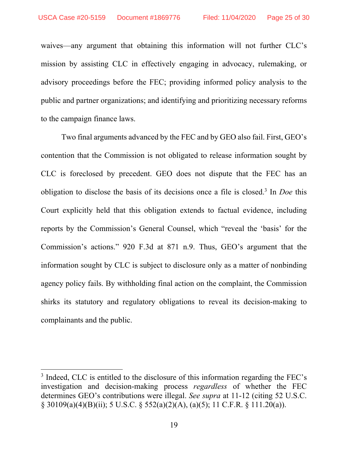waives—any argument that obtaining this information will not further CLC's mission by assisting CLC in effectively engaging in advocacy, rulemaking, or advisory proceedings before the FEC; providing informed policy analysis to the public and partner organizations; and identifying and prioritizing necessary reforms to the campaign finance laws.

Two final arguments advanced by the FEC and by GEO also fail. First, GEO's contention that the Commission is not obligated to release information sought by CLC is foreclosed by precedent. GEO does not dispute that the FEC has an obligation to disclose the basis of its decisions once a file is closed.3 In *Doe* this Court explicitly held that this obligation extends to factual evidence, including reports by the Commission's General Counsel, which "reveal the 'basis' for the Commission's actions." 920 F.3d at 871 n.9. Thus, GEO's argument that the information sought by CLC is subject to disclosure only as a matter of nonbinding agency policy fails. By withholding final action on the complaint, the Commission shirks its statutory and regulatory obligations to reveal its decision-making to complainants and the public.

 $\overline{a}$ 

<sup>&</sup>lt;sup>3</sup> Indeed, CLC is entitled to the disclosure of this information regarding the FEC's investigation and decision-making process *regardless* of whether the FEC determines GEO's contributions were illegal. *See supra* at 11-12 (citing 52 U.S.C. § 30109(a)(4)(B)(ii); 5 U.S.C. § 552(a)(2)(A), (a)(5); 11 C.F.R. § 111.20(a)).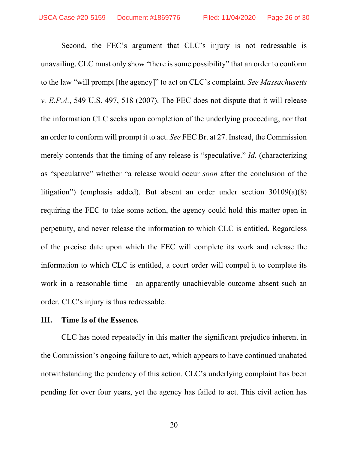Second, the FEC's argument that CLC's injury is not redressable is unavailing. CLC must only show "there is some possibility" that an order to conform to the law "will prompt [the agency]" to act on CLC's complaint. *See Massachusetts v. E.P.A.*, 549 U.S. 497, 518 (2007). The FEC does not dispute that it will release the information CLC seeks upon completion of the underlying proceeding, nor that an order to conform will prompt it to act. *See* FEC Br. at 27. Instead, the Commission merely contends that the timing of any release is "speculative." *Id*. (characterizing as "speculative" whether "a release would occur *soon* after the conclusion of the litigation") (emphasis added). But absent an order under section 30109(a)(8) requiring the FEC to take some action, the agency could hold this matter open in perpetuity, and never release the information to which CLC is entitled. Regardless of the precise date upon which the FEC will complete its work and release the information to which CLC is entitled, a court order will compel it to complete its work in a reasonable time—an apparently unachievable outcome absent such an order. CLC's injury is thus redressable.

### **III. Time Is of the Essence.**

CLC has noted repeatedly in this matter the significant prejudice inherent in the Commission's ongoing failure to act, which appears to have continued unabated notwithstanding the pendency of this action. CLC's underlying complaint has been pending for over four years, yet the agency has failed to act. This civil action has

20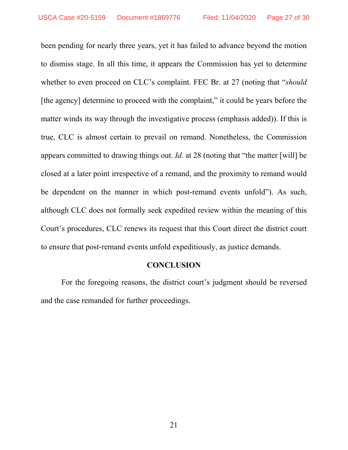been pending for nearly three years, yet it has failed to advance beyond the motion to dismiss stage. In all this time, it appears the Commission has yet to determine whether to even proceed on CLC's complaint. FEC Br. at 27 (noting that "*should*  [the agency] determine to proceed with the complaint," it could be years before the matter winds its way through the investigative process (emphasis added)). If this is true, CLC is almost certain to prevail on remand. Nonetheless, the Commission appears committed to drawing things out. *Id*. at 28 (noting that "the matter [will] be closed at a later point irrespective of a remand, and the proximity to remand would be dependent on the manner in which post-remand events unfold"). As such, although CLC does not formally seek expedited review within the meaning of this Court's procedures, CLC renews its request that this Court direct the district court to ensure that post-remand events unfold expeditiously, as justice demands.

### **CONCLUSION**

 For the foregoing reasons, the district court's judgment should be reversed and the case remanded for further proceedings.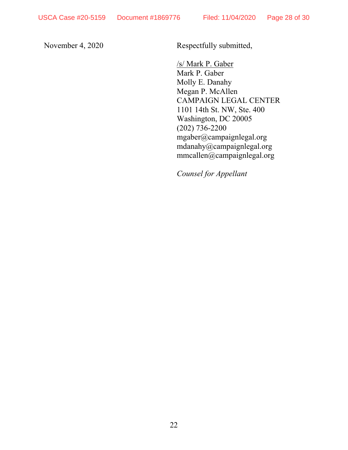November 4, 2020 Respectfully submitted,

/s/ Mark P. Gaber Mark P. Gaber Molly E. Danahy Megan P. McAllen CAMPAIGN LEGAL CENTER 1101 14th St. NW, Ste. 400 Washington, DC 20005 (202) 736-2200 mgaber@campaignlegal.org mdanahy@campaignlegal.org mmcallen@campaignlegal.org

*Counsel for Appellant*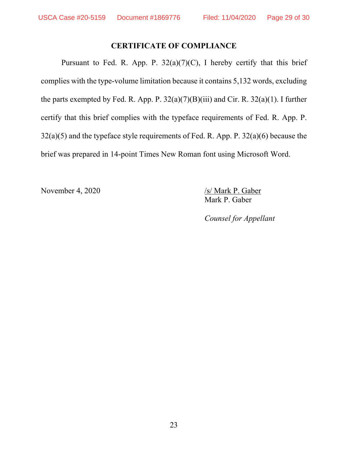### **CERTIFICATE OF COMPLIANCE**

Pursuant to Fed. R. App. P.  $32(a)(7)(C)$ , I hereby certify that this brief complies with the type-volume limitation because it contains 5,132 words, excluding the parts exempted by Fed. R. App. P. 32(a)(7)(B)(iii) and Cir. R. 32(a)(1). I further certify that this brief complies with the typeface requirements of Fed. R. App. P. 32(a)(5) and the typeface style requirements of Fed. R. App. P. 32(a)(6) because the brief was prepared in 14-point Times New Roman font using Microsoft Word.

November 4, 2020 /s/ Mark P. Gaber

Mark P. Gaber

*Counsel for Appellant*